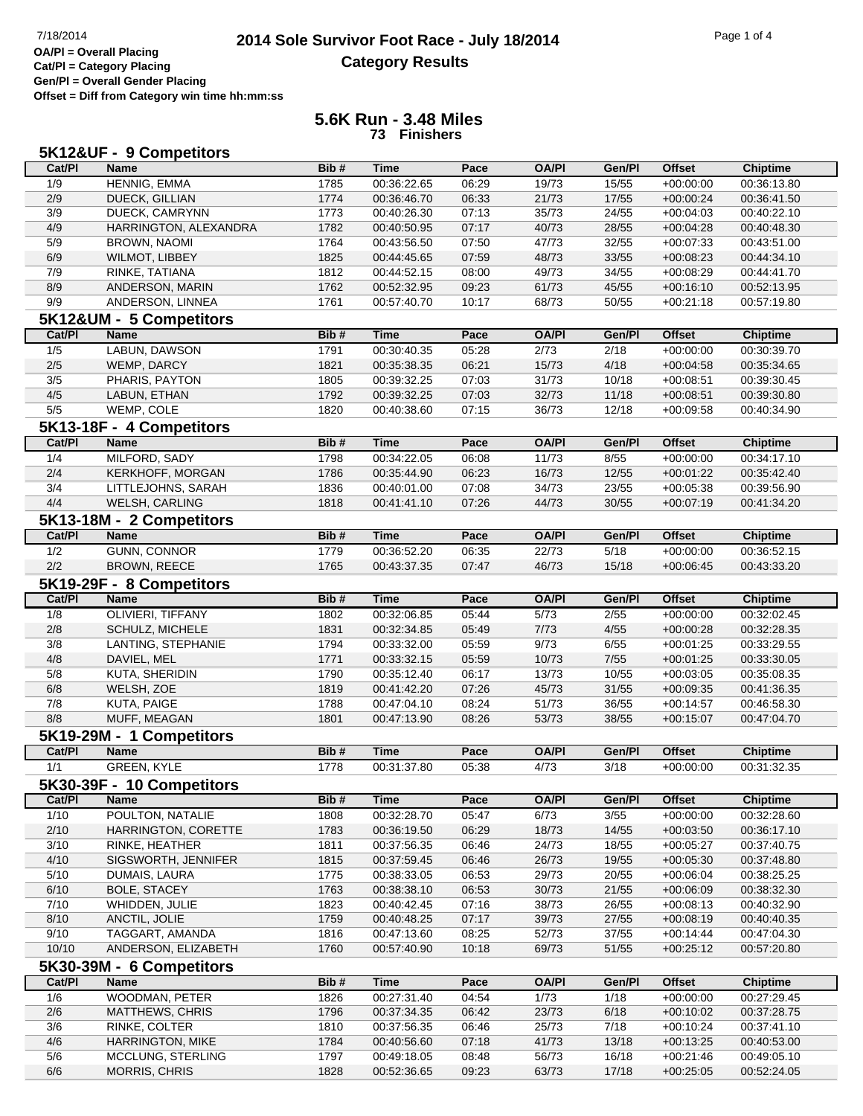## **2014 Sole Survivor Foot Race - July 18/2014** Page 1 of 4<br> **Page 1 of 4**<br> **Page 1 of 4 Category Results**

**Gen/Pl = Overall Gender Placing Offset = Diff from Category win time hh:mm:ss**

## **5.6K Run - 3.48 Miles 73 Finishers**

| 5K12&UF - 9 Competitors |                                         |      |             |       |              |        |               |                 |  |  |  |
|-------------------------|-----------------------------------------|------|-------------|-------|--------------|--------|---------------|-----------------|--|--|--|
| Cat/PI                  | <b>Name</b>                             | Bib# | <b>Time</b> | Pace  | <b>OA/PI</b> | Gen/Pl | <b>Offset</b> | <b>Chiptime</b> |  |  |  |
| 1/9                     | HENNIG, EMMA                            | 1785 | 00:36:22.65 | 06:29 | 19/73        | 15/55  | $+00:00:00$   | 00:36:13.80     |  |  |  |
| 2/9                     | <b>DUECK, GILLIAN</b>                   | 1774 | 00:36:46.70 | 06:33 | 21/73        | 17/55  | $+00:00:24$   | 00:36:41.50     |  |  |  |
| 3/9                     | DUECK, CAMRYNN                          | 1773 | 00:40:26.30 | 07:13 | 35/73        | 24/55  | $+00:04:03$   | 00:40:22.10     |  |  |  |
| 4/9                     | HARRINGTON, ALEXANDRA                   | 1782 | 00:40:50.95 | 07:17 | 40/73        | 28/55  | $+00:04:28$   | 00:40:48.30     |  |  |  |
| 5/9                     | <b>BROWN, NAOMI</b>                     | 1764 | 00:43:56.50 | 07:50 | 47/73        | 32/55  | $+00:07:33$   | 00:43:51.00     |  |  |  |
| 6/9                     | WILMOT, LIBBEY                          | 1825 | 00:44:45.65 | 07:59 | 48/73        | 33/55  | $+00:08:23$   | 00:44:34.10     |  |  |  |
| 7/9                     | RINKE, TATIANA                          | 1812 | 00:44:52.15 | 08:00 | 49/73        | 34/55  | $+00:08:29$   | 00:44:41.70     |  |  |  |
| 8/9                     | ANDERSON, MARIN                         | 1762 | 00:52:32.95 | 09:23 | 61/73        | 45/55  | $+00:16:10$   | 00:52:13.95     |  |  |  |
| 9/9                     | ANDERSON, LINNEA                        | 1761 | 00:57:40.70 | 10:17 | 68/73        | 50/55  | $+00:21:18$   | 00:57:19.80     |  |  |  |
|                         | 5K12&UM - 5 Competitors                 |      |             |       |              |        |               |                 |  |  |  |
| Cat/PI                  | <b>Name</b>                             | Bib# | <b>Time</b> | Pace  | <b>OA/PI</b> | Gen/Pl | <b>Offset</b> | <b>Chiptime</b> |  |  |  |
| 1/5                     | LABUN, DAWSON                           | 1791 | 00:30:40.35 | 05:28 | 2/73         | 2/18   | $+00:00:00$   | 00:30:39.70     |  |  |  |
| 2/5                     | WEMP, DARCY                             | 1821 | 00:35:38.35 | 06:21 | 15/73        | 4/18   | $+00:04:58$   | 00:35:34.65     |  |  |  |
| 3/5                     | PHARIS, PAYTON                          | 1805 | 00:39:32.25 | 07:03 | 31/73        | 10/18  | $+00:08:51$   | 00:39:30.45     |  |  |  |
| 4/5                     | LABUN, ETHAN                            | 1792 | 00:39:32.25 | 07:03 | 32/73        | 11/18  | $+00:08:51$   | 00:39:30.80     |  |  |  |
| 5/5                     | WEMP, COLE                              | 1820 | 00:40:38.60 | 07:15 | 36/73        | 12/18  | $+00:09:58$   | 00:40:34.90     |  |  |  |
|                         |                                         |      |             |       |              |        |               |                 |  |  |  |
| Cat/PI                  | 5K13-18F - 4 Competitors<br><b>Name</b> |      | <b>Time</b> | Pace  | <b>OA/PI</b> | Gen/Pl |               |                 |  |  |  |
|                         |                                         | Bib# |             |       |              |        | <b>Offset</b> | <b>Chiptime</b> |  |  |  |
| 1/4                     | MILFORD, SADY                           | 1798 | 00:34:22.05 | 06:08 | 11/73        | 8/55   | $+00:00:00$   | 00:34:17.10     |  |  |  |
| 2/4                     | KERKHOFF, MORGAN                        | 1786 | 00:35:44.90 | 06:23 | 16/73        | 12/55  | $+00:01:22$   | 00:35:42.40     |  |  |  |
| 3/4                     | LITTLEJOHNS, SARAH                      | 1836 | 00:40:01.00 | 07:08 | 34/73        | 23/55  | $+00:05:38$   | 00:39:56.90     |  |  |  |
| 4/4                     | WELSH, CARLING                          | 1818 | 00:41:41.10 | 07:26 | 44/73        | 30/55  | $+00:07:19$   | 00:41:34.20     |  |  |  |
|                         | 5K13-18M - 2 Competitors                |      |             |       |              |        |               |                 |  |  |  |
| Cat/PI                  | <b>Name</b>                             | Bib# | <b>Time</b> | Pace  | <b>OA/PI</b> | Gen/Pl | <b>Offset</b> | <b>Chiptime</b> |  |  |  |
| 1/2                     | <b>GUNN, CONNOR</b>                     | 1779 | 00:36:52.20 | 06:35 | 22/73        | 5/18   | $+00:00:00$   | 00:36:52.15     |  |  |  |
| 2/2                     | <b>BROWN, REECE</b>                     | 1765 | 00:43:37.35 | 07:47 | 46/73        | 15/18  | $+00:06:45$   | 00:43:33.20     |  |  |  |
|                         | 5K19-29F - 8 Competitors                |      |             |       |              |        |               |                 |  |  |  |
| Cat/PI                  | <b>Name</b>                             | Bib# | <b>Time</b> | Pace  | <b>OA/PI</b> | Gen/Pl | <b>Offset</b> | <b>Chiptime</b> |  |  |  |
| 1/8                     | OLIVIERI, TIFFANY                       | 1802 | 00:32:06.85 | 05:44 | 5/73         | 2/55   | $+00:00:00$   | 00:32:02.45     |  |  |  |
| 2/8                     | SCHULZ, MICHELE                         | 1831 | 00:32:34.85 | 05:49 | 7/73         | 4/55   | $+00:00:28$   | 00:32:28.35     |  |  |  |
| 3/8                     | LANTING, STEPHANIE                      | 1794 | 00:33:32.00 | 05:59 | 9/73         | 6/55   | $+00:01:25$   | 00:33:29.55     |  |  |  |
| 4/8                     | DAVIEL, MEL                             | 1771 | 00:33:32.15 | 05:59 | 10/73        | $7/55$ | $+00:01:25$   | 00:33:30.05     |  |  |  |
| 5/8                     | KUTA, SHERIDIN                          | 1790 | 00:35:12.40 | 06:17 | 13/73        | 10/55  | $+00:03:05$   | 00:35:08.35     |  |  |  |
| 6/8                     | WELSH, ZOE                              | 1819 | 00:41:42.20 | 07:26 | 45/73        | 31/55  | $+00:09:35$   | 00:41:36.35     |  |  |  |
| 7/8                     | KUTA, PAIGE                             | 1788 | 00:47:04.10 | 08:24 | 51/73        | 36/55  | $+00:14:57$   | 00:46:58.30     |  |  |  |
| 8/8                     | MUFF, MEAGAN                            | 1801 | 00:47:13.90 | 08:26 | 53/73        | 38/55  | $+00:15:07$   | 00:47:04.70     |  |  |  |
|                         | 5K19-29M - 1 Competitors                |      |             |       |              |        |               |                 |  |  |  |
| Cat/PI                  | <b>Name</b>                             | Bib# | <b>Time</b> | Pace  | <b>OA/PI</b> | Gen/Pl | <b>Offset</b> | <b>Chiptime</b> |  |  |  |
| 1/1                     | <b>GREEN, KYLE</b>                      | 1778 | 00:31:37.80 | 05:38 | 4/73         | 3/18   | $+00:00:00$   | 00:31:32.35     |  |  |  |
|                         | 5K30-39F - 10 Competitors               |      |             |       |              |        |               |                 |  |  |  |
| Cat/PI                  | <b>Name</b>                             | Bib# | <b>Time</b> | Pace  | <b>OA/PI</b> | Gen/Pl | <b>Offset</b> | <b>Chiptime</b> |  |  |  |
| 1/10                    | POULTON, NATALIE                        | 1808 | 00:32:28.70 | 05:47 | 6/73         | 3/55   | $+00:00:00$   | 00:32:28.60     |  |  |  |
| 2/10                    | HARRINGTON, CORETTE                     | 1783 | 00:36:19.50 | 06:29 | 18/73        | 14/55  | $+00:03:50$   | 00:36:17.10     |  |  |  |
| 3/10                    | RINKE, HEATHER                          | 1811 | 00:37:56.35 | 06:46 | 24/73        | 18/55  | $+00:05:27$   | 00:37:40.75     |  |  |  |
| 4/10                    | SIGSWORTH, JENNIFER                     | 1815 | 00:37:59.45 | 06:46 | 26/73        | 19/55  | $+00:05:30$   | 00:37:48.80     |  |  |  |
| 5/10                    | DUMAIS, LAURA                           | 1775 | 00:38:33.05 | 06:53 | 29/73        | 20/55  | $+00:06:04$   | 00:38:25.25     |  |  |  |
| 6/10                    | <b>BOLE, STACEY</b>                     | 1763 | 00:38:38.10 | 06:53 | 30/73        | 21/55  | $+00:06:09$   | 00:38:32.30     |  |  |  |
| 7/10                    | WHIDDEN, JULIE                          | 1823 | 00:40:42.45 | 07:16 | 38/73        | 26/55  | $+00:08:13$   | 00:40:32.90     |  |  |  |
| 8/10                    | ANCTIL, JOLIE                           | 1759 | 00:40:48.25 | 07:17 | 39/73        | 27/55  | $+00:08:19$   | 00:40:40.35     |  |  |  |
| 9/10                    | TAGGART, AMANDA                         | 1816 | 00:47:13.60 | 08:25 | 52/73        | 37/55  | $+00:14:44$   | 00:47:04.30     |  |  |  |
| 10/10                   | ANDERSON, ELIZABETH                     | 1760 | 00:57:40.90 | 10:18 | 69/73        | 51/55  | $+00:25:12$   | 00:57:20.80     |  |  |  |
|                         | 5K30-39M - 6 Competitors                |      |             |       |              |        |               |                 |  |  |  |
| Cat/PI                  | <b>Name</b>                             | Bib# | <b>Time</b> | Pace  | <b>OA/PI</b> | Gen/Pl | <b>Offset</b> | <b>Chiptime</b> |  |  |  |
| 1/6                     | WOODMAN, PETER                          | 1826 | 00:27:31.40 | 04:54 | 1/73         | 1/18   | $+00:00:00$   | 00:27:29.45     |  |  |  |
| 2/6                     | <b>MATTHEWS, CHRIS</b>                  | 1796 | 00:37:34.35 | 06:42 | 23/73        | 6/18   | $+00:10:02$   | 00:37:28.75     |  |  |  |
| 3/6                     | RINKE, COLTER                           | 1810 | 00:37:56.35 | 06:46 | 25/73        | 7/18   | $+00:10:24$   | 00:37:41.10     |  |  |  |
| 4/6                     | <b>HARRINGTON, MIKE</b>                 | 1784 | 00:40:56.60 | 07:18 | 41/73        | 13/18  | $+00:13:25$   | 00:40:53.00     |  |  |  |
| 5/6                     | MCCLUNG, STERLING                       | 1797 | 00:49:18.05 | 08:48 | 56/73        | 16/18  | $+00:21:46$   | 00:49:05.10     |  |  |  |
| 6/6                     | MORRIS, CHRIS                           | 1828 | 00:52:36.65 | 09:23 | 63/73        | 17/18  | $+00:25:05$   | 00:52:24.05     |  |  |  |